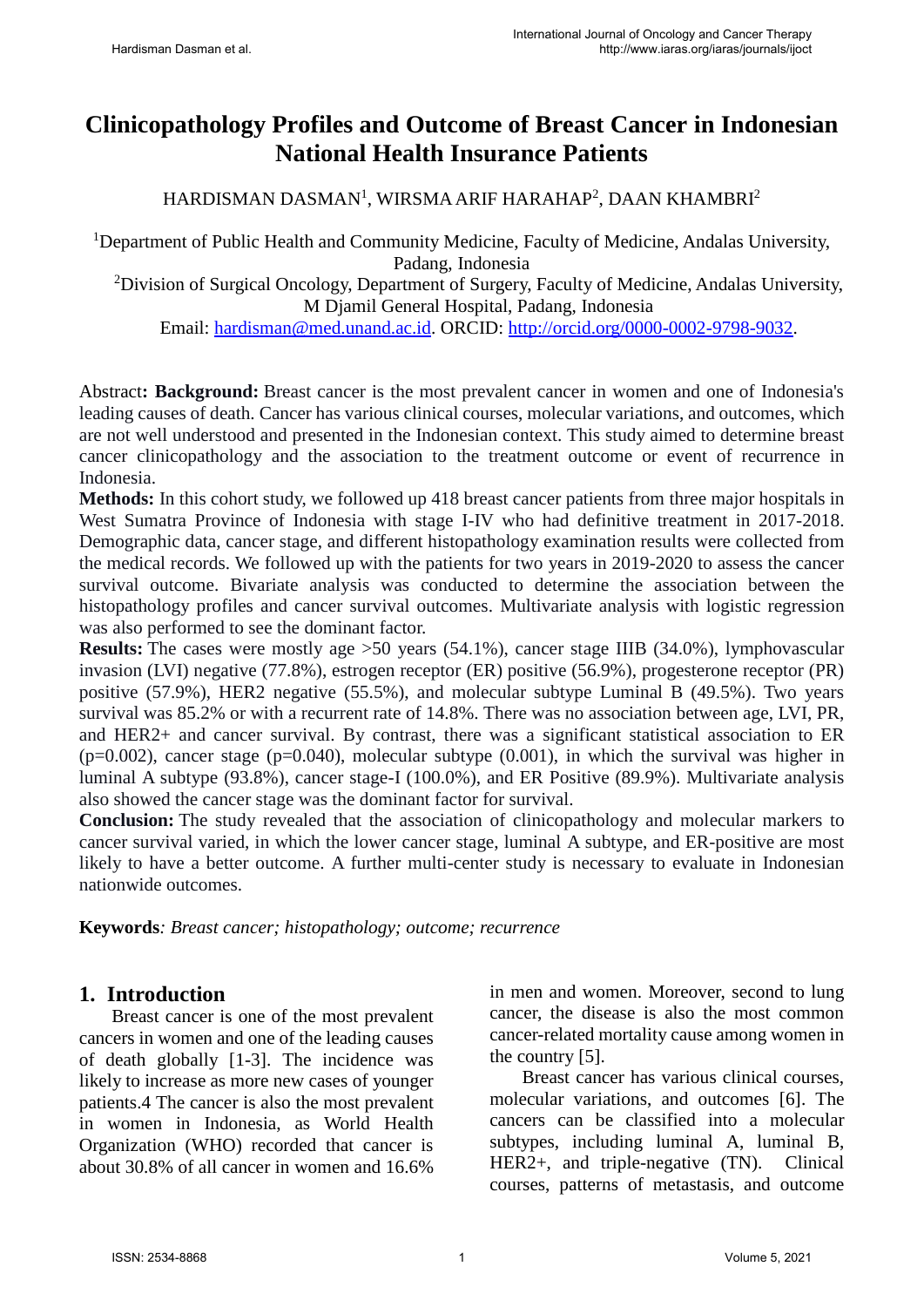# **Clinicopathology Profiles and Outcome of Breast Cancer in Indonesian National Health Insurance Patients**

### HARDISMAN DASMAN<sup>1</sup>, WIRSMA ARIF HARAHAP<sup>2</sup>, DAAN KHAMBRI<sup>2</sup>

<sup>1</sup>Department of Public Health and Community Medicine, Faculty of Medicine, Andalas University, Padang, Indonesia

<sup>2</sup>Division of Surgical Oncology, Department of Surgery, Faculty of Medicine, Andalas University, M Djamil General Hospital, Padang, Indonesia

Email: [hardisman@med.unand.ac.id.](mailto:hardisman@med.unand.ac.id) ORCID: [http://orcid.org/0000-0002-9798-9032.](http://orcid.org/0000-0002-9798-9032)

Abstract**: Background:** Breast cancer is the most prevalent cancer in women and one of Indonesia's leading causes of death. Cancer has various clinical courses, molecular variations, and outcomes, which are not well understood and presented in the Indonesian context. This study aimed to determine breast cancer clinicopathology and the association to the treatment outcome or event of recurrence in Indonesia.

**Methods:** In this cohort study, we followed up 418 breast cancer patients from three major hospitals in West Sumatra Province of Indonesia with stage I-IV who had definitive treatment in 2017-2018. Demographic data, cancer stage, and different histopathology examination results were collected from the medical records. We followed up with the patients for two years in 2019-2020 to assess the cancer survival outcome. Bivariate analysis was conducted to determine the association between the histopathology profiles and cancer survival outcomes. Multivariate analysis with logistic regression was also performed to see the dominant factor.

**Results:** The cases were mostly age >50 years (54.1%), cancer stage IIIB (34.0%), lymphovascular invasion (LVI) negative (77.8%), estrogen receptor (ER) positive (56.9%), progesterone receptor (PR) positive (57.9%), HER2 negative (55.5%), and molecular subtype Luminal B (49.5%). Two years survival was 85.2% or with a recurrent rate of 14.8%. There was no association between age, LVI, PR, and HER2+ and cancer survival. By contrast, there was a significant statistical association to ER  $(p=0.002)$ , cancer stage (p=0.040), molecular subtype (0.001), in which the survival was higher in luminal A subtype (93.8%), cancer stage-I (100.0%), and ER Positive (89.9%). Multivariate analysis also showed the cancer stage was the dominant factor for survival.

**Conclusion:** The study revealed that the association of clinicopathology and molecular markers to cancer survival varied, in which the lower cancer stage, luminal A subtype, and ER-positive are most likely to have a better outcome. A further multi-center study is necessary to evaluate in Indonesian nationwide outcomes.

**Keywords***: Breast cancer; histopathology; outcome; recurrence*

#### **1. Introduction**

Breast cancer is one of the most prevalent cancers in women and one of the leading causes of death globally [1-3]. The incidence was likely to increase as more new cases of younger patients.4 The cancer is also the most prevalent in women in Indonesia, as World Health Organization (WHO) recorded that cancer is about 30.8% of all cancer in women and 16.6%

in men and women. Moreover, second to lung cancer, the disease is also the most common cancer-related mortality cause among women in the country [5].

Breast cancer has various clinical courses, molecular variations, and outcomes [6]. The cancers can be classified into a molecular subtypes, including luminal A, luminal B, HER2+, and triple-negative (TN). Clinical courses, patterns of metastasis, and outcome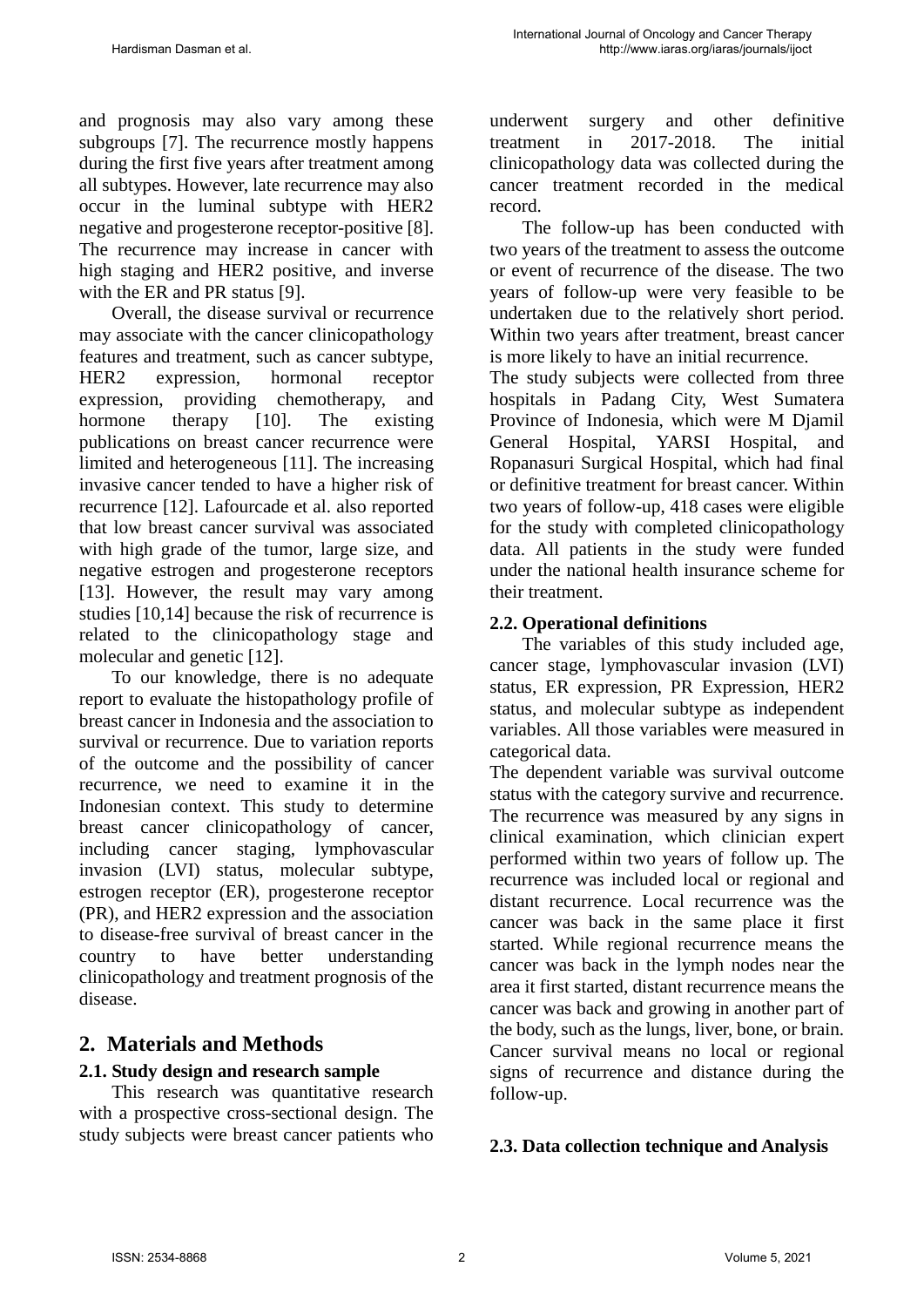and prognosis may also vary among these subgroups [7]. The recurrence mostly happens during the first five years after treatment among all subtypes. However, late recurrence may also occur in the luminal subtype with HER2 negative and progesterone receptor-positive [8]. The recurrence may increase in cancer with high staging and HER2 positive, and inverse with the ER and PR status [9].

Overall, the disease survival or recurrence may associate with the cancer clinicopathology features and treatment, such as cancer subtype, HER2 expression, hormonal receptor expression, providing chemotherapy, and hormone therapy [10]. The existing publications on breast cancer recurrence were limited and heterogeneous [11]. The increasing invasive cancer tended to have a higher risk of recurrence [12]. Lafourcade et al. also reported that low breast cancer survival was associated with high grade of the tumor, large size, and negative estrogen and progesterone receptors [13]. However, the result may vary among studies [10,14] because the risk of recurrence is related to the clinicopathology stage and molecular and genetic [12].

To our knowledge, there is no adequate report to evaluate the histopathology profile of breast cancer in Indonesia and the association to survival or recurrence. Due to variation reports of the outcome and the possibility of cancer recurrence, we need to examine it in the Indonesian context. This study to determine breast cancer clinicopathology of cancer, including cancer staging, lymphovascular invasion (LVI) status, molecular subtype, estrogen receptor (ER), progesterone receptor (PR), and HER2 expression and the association to disease-free survival of breast cancer in the country to have better understanding clinicopathology and treatment prognosis of the disease.

# **2. Materials and Methods**

## **2.1. Study design and research sample**

This research was quantitative research with a prospective cross-sectional design. The study subjects were breast cancer patients who

underwent surgery and other definitive treatment in 2017-2018. The initial clinicopathology data was collected during the cancer treatment recorded in the medical record.

The follow-up has been conducted with two years of the treatment to assess the outcome or event of recurrence of the disease. The two years of follow-up were very feasible to be undertaken due to the relatively short period. Within two years after treatment, breast cancer is more likely to have an initial recurrence.

The study subjects were collected from three hospitals in Padang City, West Sumatera Province of Indonesia, which were M Djamil General Hospital, YARSI Hospital, and Ropanasuri Surgical Hospital, which had final or definitive treatment for breast cancer. Within two years of follow-up, 418 cases were eligible for the study with completed clinicopathology data. All patients in the study were funded under the national health insurance scheme for their treatment.

#### **2.2. Operational definitions**

The variables of this study included age, cancer stage, lymphovascular invasion (LVI) status, ER expression, PR Expression, HER2 status, and molecular subtype as independent variables. All those variables were measured in categorical data.

The dependent variable was survival outcome status with the category survive and recurrence. The recurrence was measured by any signs in clinical examination, which clinician expert performed within two years of follow up. The recurrence was included local or regional and distant recurrence. Local recurrence was the cancer was back in the same place it first started. While regional recurrence means the cancer was back in the lymph nodes near the area it first started, distant recurrence means the cancer was back and growing in another part of the body, such as the lungs, liver, bone, or brain. Cancer survival means no local or regional signs of recurrence and distance during the follow-up.

#### **2.3. Data collection technique and Analysis**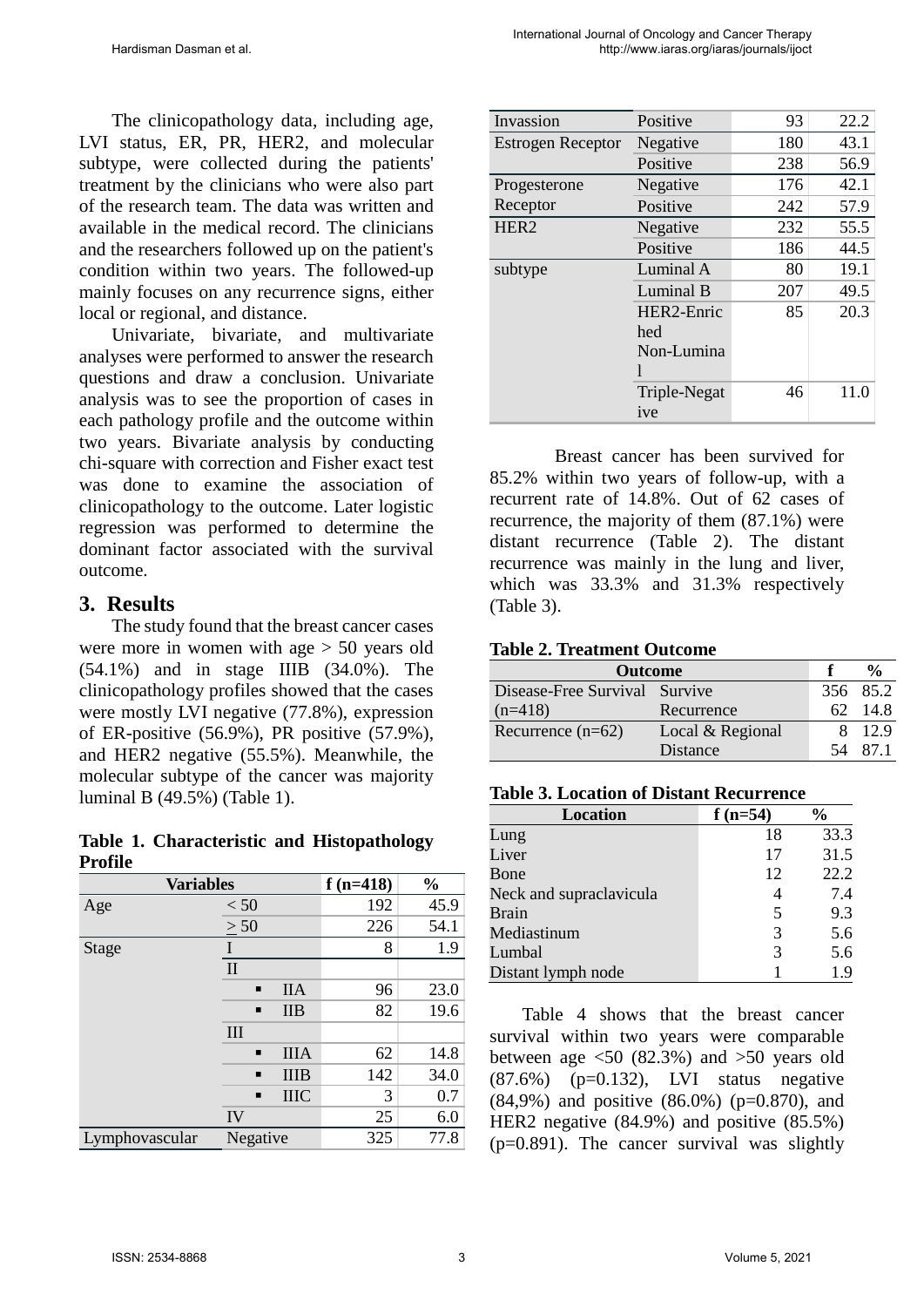The clinicopathology data, including age, LVI status, ER, PR, HER2, and molecular subtype, were collected during the patients' treatment by the clinicians who were also part of the research team. The data was written and available in the medical record. The clinicians and the researchers followed up on the patient's condition within two years. The followed-up mainly focuses on any recurrence signs, either local or regional, and distance.

Univariate, bivariate, and multivariate analyses were performed to answer the research questions and draw a conclusion. Univariate analysis was to see the proportion of cases in each pathology profile and the outcome within two years. Bivariate analysis by conducting chi-square with correction and Fisher exact test was done to examine the association of clinicopathology to the outcome. Later logistic regression was performed to determine the dominant factor associated with the survival outcome.

#### **3. Results**

The study found that the breast cancer cases were more in women with age > 50 years old (54.1%) and in stage IIIB (34.0%). The clinicopathology profiles showed that the cases were mostly LVI negative (77.8%), expression of ER-positive (56.9%), PR positive (57.9%), and HER2 negative (55.5%). Meanwhile, the molecular subtype of the cancer was majority luminal B (49.5%) (Table 1).

**Table 1. Characteristic and Histopathology Profile**

| <b>Variables</b> |                |             | $f(n=418)$ | $\frac{0}{0}$ |
|------------------|----------------|-------------|------------|---------------|
| Age              | < 50           |             | 192        | 45.9          |
|                  | $\geq 50$      |             | 226        | 54.1          |
| <b>Stage</b>     |                |             | 8          | 1.9           |
|                  | $\mathbf{I}$   |             |            |               |
|                  | $\blacksquare$ | <b>IIA</b>  | 96         | 23.0          |
|                  | п              | <b>IIB</b>  | 82         | 19.6          |
|                  | Ш              |             |            |               |
|                  | $\blacksquare$ | <b>IIIA</b> | 62         | 14.8          |
|                  | $\blacksquare$ | <b>IIIB</b> | 142        | 34.0          |
|                  | п              | <b>IIIC</b> | 3          | 0.7           |
|                  | IV             |             | 25         | 6.0           |
| Lymphovascular   | Negative       |             | 325        | 77.8          |

| Invassion                | Positive     | 93  | 22.2 |
|--------------------------|--------------|-----|------|
| <b>Estrogen Receptor</b> | Negative     | 180 | 43.1 |
|                          | Positive     | 238 | 56.9 |
| Progesterone             | Negative     | 176 | 42.1 |
| Receptor                 | Positive     | 242 | 57.9 |
| HER <sub>2</sub>         | Negative     | 232 | 55.5 |
|                          | Positive     | 186 | 44.5 |
| subtype                  | Luminal A    | 80  | 19.1 |
|                          | Luminal B    | 207 | 49.5 |
|                          | HER2-Enric   | 85  | 20.3 |
|                          | hed          |     |      |
|                          | Non-Lumina   |     |      |
|                          |              |     |      |
|                          | Triple-Negat | 46  | 11.0 |
|                          | ive          |     |      |

Breast cancer has been survived for 85.2% within two years of follow-up, with a recurrent rate of 14.8%. Out of 62 cases of recurrence, the majority of them (87.1%) were distant recurrence (Table 2). The distant recurrence was mainly in the lung and liver, which was 33.3% and 31.3% respectively (Table 3).

#### **Table 2. Treatment Outcome**

| <b>Outcome</b>                |                  |     |          |
|-------------------------------|------------------|-----|----------|
| Disease-Free Survival Survive |                  |     | 356 85.2 |
| $(n=418)$                     | Recurrence       | 62. | -14.8    |
| Recurrence $(n=62)$           | Local & Regional |     | 8 12.9   |
|                               | Distance         |     | 871      |

#### **Table 3. Location of Distant Recurrence**

| <b>Location</b>         | $f(n=54)$ | $\frac{1}{2}$ |
|-------------------------|-----------|---------------|
| Lung                    | 18        | 33.3          |
| Liver                   | 17        | 31.5          |
| Bone                    | 12        | 22.2          |
| Neck and supraclavicula |           | 7.4           |
| Brain                   | 5         | 9.3           |
| Mediastinum             | 3         | 5.6           |
| Lumbal                  | 3         | 5.6           |
| Distant lymph node      |           | 19            |

Table 4 shows that the breast cancer survival within two years were comparable between age  $\langle 50 \rangle$  (82.3%) and  $>50$  years old  $(87.6%)$   $(p=0.132)$ , LVI status negative  $(84,9\%)$  and positive  $(86.0\%)$  (p=0.870), and HER2 negative (84.9%) and positive (85.5%) (p=0.891). The cancer survival was slightly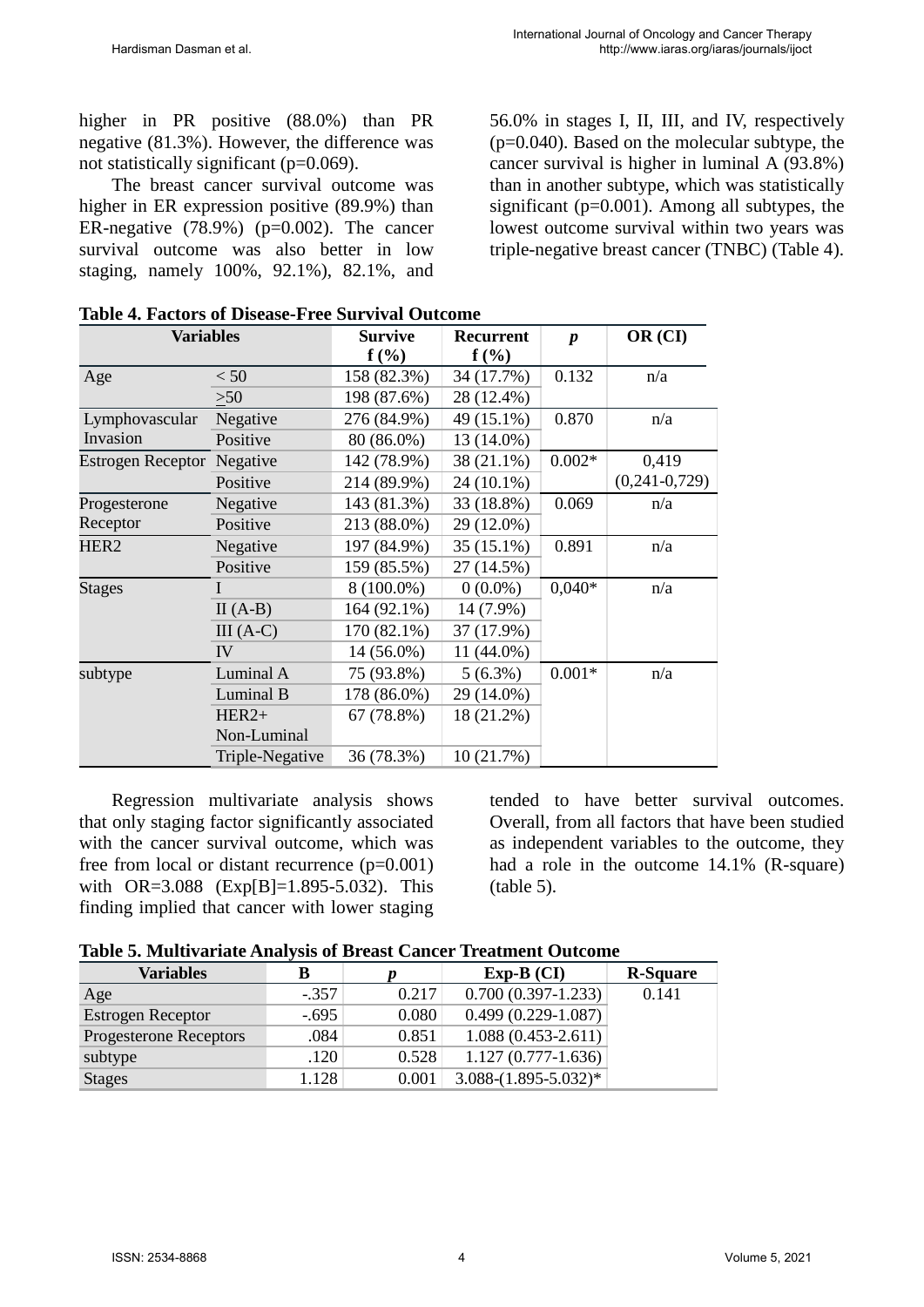higher in PR positive (88.0%) than PR negative (81.3%). However, the difference was not statistically significant (p=0.069).

The breast cancer survival outcome was higher in ER expression positive (89.9%) than ER-negative  $(78.9\%)$  (p=0.002). The cancer survival outcome was also better in low staging, namely 100%, 92.1%), 82.1%, and

56.0% in stages I, II, III, and IV, respectively  $(p=0.040)$ . Based on the molecular subtype, the cancer survival is higher in luminal A (93.8%) than in another subtype, which was statistically significant (p=0.001). Among all subtypes, the lowest outcome survival within two years was triple-negative breast cancer (TNBC) (Table 4).

| Variables                |                 | Survive      | <b>Recurrent</b> | $\boldsymbol{p}$ | OR (CI)         |
|--------------------------|-----------------|--------------|------------------|------------------|-----------------|
|                          |                 | $f(\%)$      | $f(\%)$          |                  |                 |
| Age                      | < 50            | 158 (82.3%)  | 34 (17.7%)       | 0.132            | n/a             |
|                          | $\geq 50$       | 198 (87.6%)  | 28 (12.4%)       |                  |                 |
| Lymphovascular           | Negative        | 276 (84.9%)  | 49 (15.1%)       | 0.870            | n/a             |
| Invasion                 | Positive        | 80 (86.0%)   | 13 (14.0%)       |                  |                 |
| <b>Estrogen Receptor</b> | Negative        | 142 (78.9%)  | 38 (21.1%)       | $0.002*$         | 0,419           |
|                          | Positive        | 214 (89.9%)  | 24 (10.1%)       |                  | $(0,241-0,729)$ |
| Progesterone             | Negative        | 143 (81.3%)  | 33 (18.8%)       | 0.069            | n/a             |
| Receptor                 | Positive        | 213 (88.0%)  | 29 (12.0%)       |                  |                 |
| HER <sub>2</sub>         | Negative        | 197 (84.9%)  | 35 (15.1%)       | 0.891            | n/a             |
|                          | Positive        | 159 (85.5%)  | 27 (14.5%)       |                  |                 |
| <b>Stages</b>            | I               | $8(100.0\%)$ | $0(0.0\%)$       | $0,040*$         | n/a             |
|                          | $II(A-B)$       | 164 (92.1%)  | 14 (7.9%)        |                  |                 |
|                          | $III(A-C)$      | 170 (82.1%)  | 37 (17.9%)       |                  |                 |
|                          | IV              | 14 (56.0%)   | 11 (44.0%)       |                  |                 |
| subtype                  | Luminal A       | 75 (93.8%)   | $5(6.3\%)$       | $0.001*$         | n/a             |
|                          | Luminal B       | 178 (86.0%)  | 29 (14.0%)       |                  |                 |
|                          | $HER2+$         | 67 (78.8%)   | 18 (21.2%)       |                  |                 |
|                          | Non-Luminal     |              |                  |                  |                 |
|                          | Triple-Negative | 36 (78.3%)   | 10(21.7%)        |                  |                 |

| <b>Table 4. Factors of Disease-Free Survival Outcome</b> |  |  |  |  |  |  |
|----------------------------------------------------------|--|--|--|--|--|--|
|----------------------------------------------------------|--|--|--|--|--|--|

Regression multivariate analysis shows that only staging factor significantly associated with the cancer survival outcome, which was free from local or distant recurrence  $(p=0.001)$ with OR=3.088 (Exp[B]=1.895-5.032). This finding implied that cancer with lower staging

tended to have better survival outcomes. Overall, from all factors that have been studied as independent variables to the outcome, they had a role in the outcome 14.1% (R-square) (table 5).

| Table 5. Multivariate Analysis of Breast Cancer Treatment Outcome |  |  |  |
|-------------------------------------------------------------------|--|--|--|
|-------------------------------------------------------------------|--|--|--|

| <b>Variables</b>         | В       |       | $Exp-B$ (CI)           | <b>R-Square</b> |
|--------------------------|---------|-------|------------------------|-----------------|
| Age                      | $-.357$ | 0.217 | $0.700(0.397-1.233)$   | 0.141           |
| <b>Estrogen Receptor</b> | $-.695$ | 0.080 | $0.499(0.229-1.087)$   |                 |
| Progesterone Receptors   | .084    | 0.851 | $1.088(0.453-2.611)$   |                 |
| subtype                  | .120    | 0.528 | $1.127(0.777-1.636)$   |                 |
| <b>Stages</b>            | 1.128   | 0.001 | $3.088-(1.895-5.032)*$ |                 |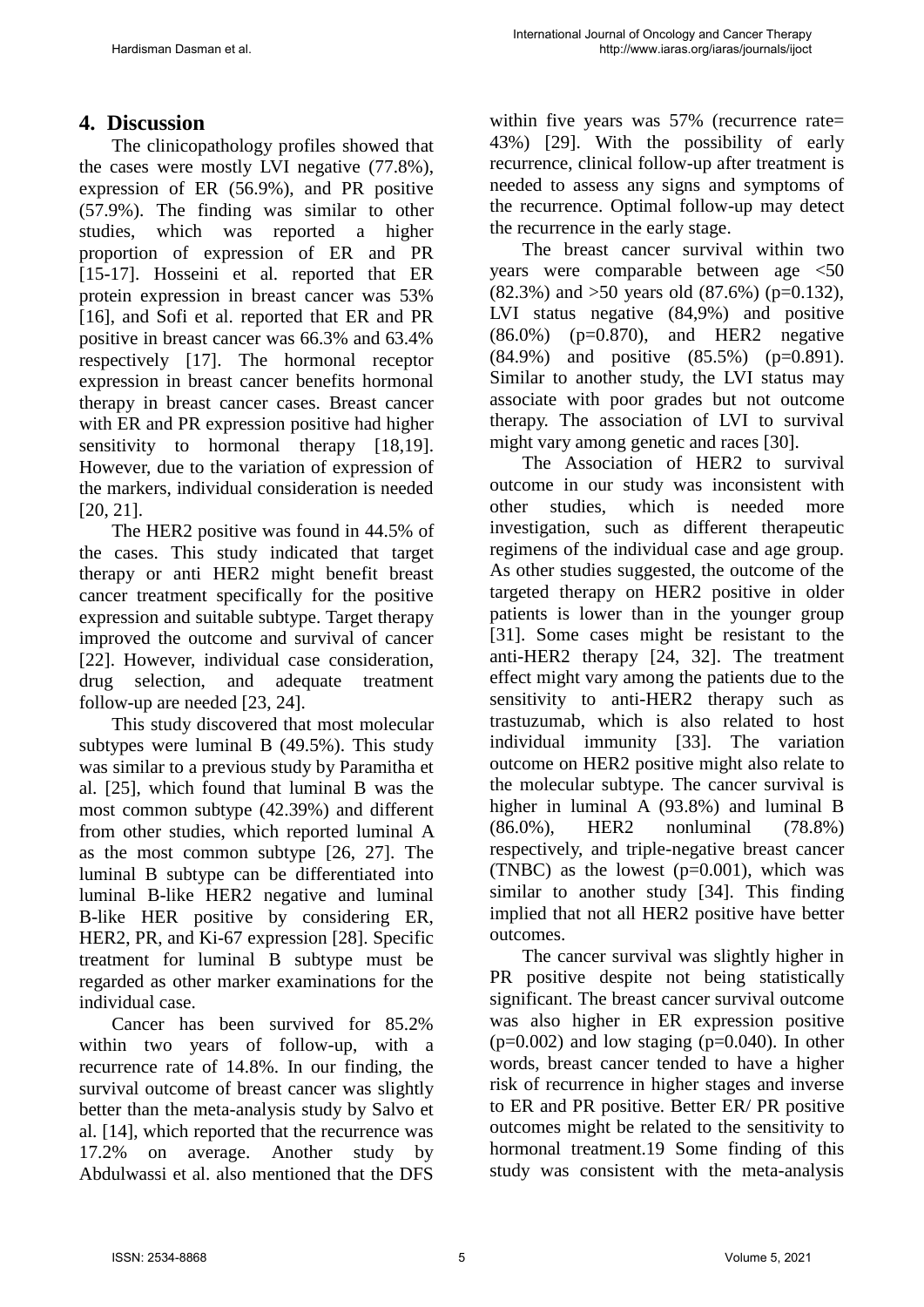# **4. Discussion**

The clinicopathology profiles showed that the cases were mostly LVI negative (77.8%), expression of ER (56.9%), and PR positive (57.9%). The finding was similar to other studies, which was reported a higher proportion of expression of ER and PR [15-17]. Hosseini et al. reported that ER protein expression in breast cancer was 53% [16], and Sofi et al. reported that ER and PR positive in breast cancer was 66.3% and 63.4% respectively [17]. The hormonal receptor expression in breast cancer benefits hormonal therapy in breast cancer cases. Breast cancer with ER and PR expression positive had higher sensitivity to hormonal therapy [18,19]. However, due to the variation of expression of the markers, individual consideration is needed [20, 21].

The HER2 positive was found in 44.5% of the cases. This study indicated that target therapy or anti HER2 might benefit breast cancer treatment specifically for the positive expression and suitable subtype. Target therapy improved the outcome and survival of cancer [22]. However, individual case consideration, drug selection, and adequate treatment follow-up are needed [23, 24].

This study discovered that most molecular subtypes were luminal B (49.5%). This study was similar to a previous study by Paramitha et al. [25], which found that luminal B was the most common subtype (42.39%) and different from other studies, which reported luminal A as the most common subtype [26, 27]. The luminal B subtype can be differentiated into luminal B-like HER2 negative and luminal B-like HER positive by considering ER, HER2, PR, and Ki-67 expression [28]. Specific treatment for luminal B subtype must be regarded as other marker examinations for the individual case.

Cancer has been survived for 85.2% within two years of follow-up, with a recurrence rate of 14.8%. In our finding, the survival outcome of breast cancer was slightly better than the meta-analysis study by Salvo et al. [14], which reported that the recurrence was 17.2% on average. Another study by Abdulwassi et al. also mentioned that the DFS

within five years was 57% (recurrence rate= 43%) [29]. With the possibility of early recurrence, clinical follow-up after treatment is needed to assess any signs and symptoms of the recurrence. Optimal follow-up may detect the recurrence in the early stage.

The breast cancer survival within two years were comparable between age <50 (82.3%) and >50 years old (87.6%) (p=0.132), LVI status negative (84,9%) and positive  $(86.0\%)$  (p=0.870), and HER2 negative (84.9%) and positive (85.5%) (p=0.891). Similar to another study, the LVI status may associate with poor grades but not outcome therapy. The association of LVI to survival might vary among genetic and races [30].

The Association of HER2 to survival outcome in our study was inconsistent with other studies, which is needed more investigation, such as different therapeutic regimens of the individual case and age group. As other studies suggested, the outcome of the targeted therapy on HER2 positive in older patients is lower than in the younger group [31]. Some cases might be resistant to the anti-HER2 therapy [24, 32]. The treatment effect might vary among the patients due to the sensitivity to anti-HER2 therapy such as trastuzumab, which is also related to host individual immunity [33]. The variation outcome on HER2 positive might also relate to the molecular subtype. The cancer survival is higher in luminal A (93.8%) and luminal B (86.0%), HER2 nonluminal (78.8%) respectively, and triple-negative breast cancer (TNBC) as the lowest  $(p=0.001)$ , which was similar to another study [34]. This finding implied that not all HER2 positive have better outcomes.

The cancer survival was slightly higher in PR positive despite not being statistically significant. The breast cancer survival outcome was also higher in ER expression positive  $(p=0.002)$  and low staging  $(p=0.040)$ . In other words, breast cancer tended to have a higher risk of recurrence in higher stages and inverse to ER and PR positive. Better ER/ PR positive outcomes might be related to the sensitivity to hormonal treatment.19 Some finding of this study was consistent with the meta-analysis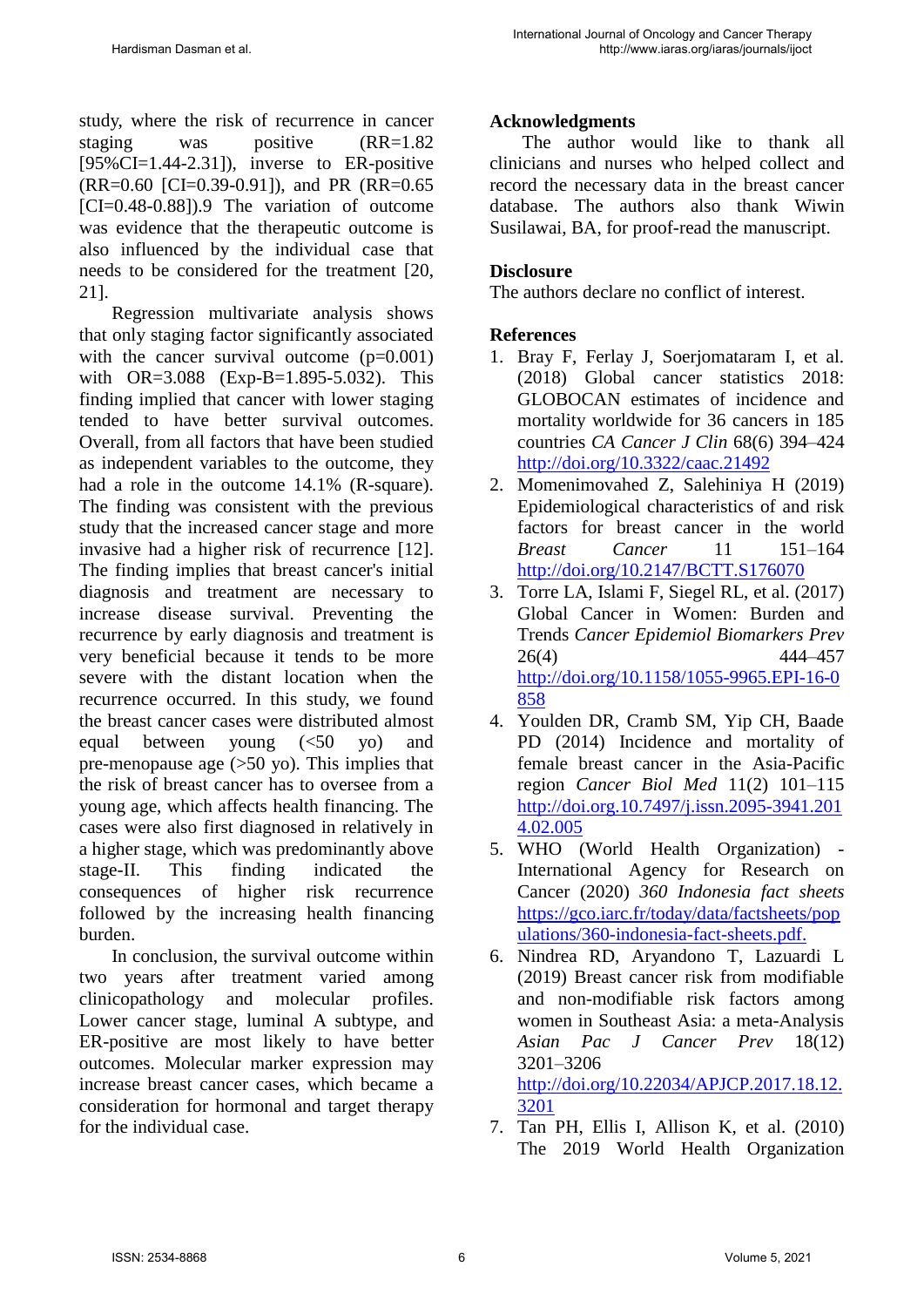study, where the risk of recurrence in cancer staging was positive (RR=1.82)  $[95\% CI = 1.44 - 2.31]$ , inverse to ER-positive (RR=0.60 [CI=0.39-0.91]), and PR (RR=0.65 [CI=0.48-0.88]).9 The variation of outcome was evidence that the therapeutic outcome is also influenced by the individual case that needs to be considered for the treatment [20, 21].

Regression multivariate analysis shows that only staging factor significantly associated with the cancer survival outcome  $(p=0.001)$ with OR=3.088 (Exp-B=1.895-5.032). This finding implied that cancer with lower staging tended to have better survival outcomes. Overall, from all factors that have been studied as independent variables to the outcome, they had a role in the outcome 14.1% (R-square). The finding was consistent with the previous study that the increased cancer stage and more invasive had a higher risk of recurrence [12]. The finding implies that breast cancer's initial diagnosis and treatment are necessary to increase disease survival. Preventing the recurrence by early diagnosis and treatment is very beneficial because it tends to be more severe with the distant location when the recurrence occurred. In this study, we found the breast cancer cases were distributed almost equal between young (<50 yo) and pre-menopause age (>50 yo). This implies that the risk of breast cancer has to oversee from a young age, which affects health financing. The cases were also first diagnosed in relatively in a higher stage, which was predominantly above stage-II. This finding indicated the consequences of higher risk recurrence followed by the increasing health financing burden.

In conclusion, the survival outcome within two years after treatment varied among clinicopathology and molecular profiles. Lower cancer stage, luminal A subtype, and ER-positive are most likely to have better outcomes. Molecular marker expression may increase breast cancer cases, which became a consideration for hormonal and target therapy for the individual case.

### **Acknowledgments**

The author would like to thank all clinicians and nurses who helped collect and record the necessary data in the breast cancer database. The authors also thank Wiwin Susilawai, BA, for proof-read the manuscript.

#### **Disclosure**

The authors declare no conflict of interest.

#### **References**

- 1. Bray F, Ferlay J, Soerjomataram I, et al. (2018) Global cancer statistics 2018: GLOBOCAN estimates of incidence and mortality worldwide for 36 cancers in 185 countries *CA Cancer J Clin* 68(6) 394–424 <http://doi.org/10.3322/caac.21492>
- 2. Momenimovahed Z, Salehiniya H (2019) Epidemiological characteristics of and risk factors for breast cancer in the world *Breast Cancer* 11 151–164 <http://doi.org/10.2147/BCTT.S176070>
- 3. Torre LA, Islami F, Siegel RL, et al. (2017) Global Cancer in Women: Burden and Trends *Cancer Epidemiol Biomarkers Prev* 26(4) 444–457 [http://doi.org/10.1158/1055-9965.EPI-16-0](http://doi.org/10.1158/1055-9965.EPI-16-0858) [858](http://doi.org/10.1158/1055-9965.EPI-16-0858)
- 4. Youlden DR, Cramb SM, Yip CH, Baade PD (2014) Incidence and mortality of female breast cancer in the Asia-Pacific region *Cancer Biol Med* 11(2) 101–115 [http://doi.org.10.7497/j.issn.2095-3941.201](http://doi.org.10.7497/j.issn.2095-3941.2014.02.005) [4.02.005](http://doi.org.10.7497/j.issn.2095-3941.2014.02.005)
- 5. WHO (World Health Organization) International Agency for Research on Cancer (2020) *360 Indonesia fact sheets* [https://gco.iarc.fr/today/data/factsheets/pop](https://gco.iarc.fr/today/data/factsheets/populations/360-indonesia-fact-sheets.pdf.) [ulations/360-indonesia-fact-sheets.pdf.](https://gco.iarc.fr/today/data/factsheets/populations/360-indonesia-fact-sheets.pdf.)
- 6. Nindrea RD, Aryandono T, Lazuardi L (2019) Breast cancer risk from modifiable and non-modifiable risk factors among women in Southeast Asia: a meta-Analysis *Asian Pac J Cancer Prev* 18(12) 3201–3206 [http://doi.org/10.22034/APJCP.2017.18.12.](http://doi.org/10.22034/APJCP.2017.18.12.3201)

[3201](http://doi.org/10.22034/APJCP.2017.18.12.3201) 

7. Tan PH, Ellis I, Allison K, et al. (2010) The 2019 World Health Organization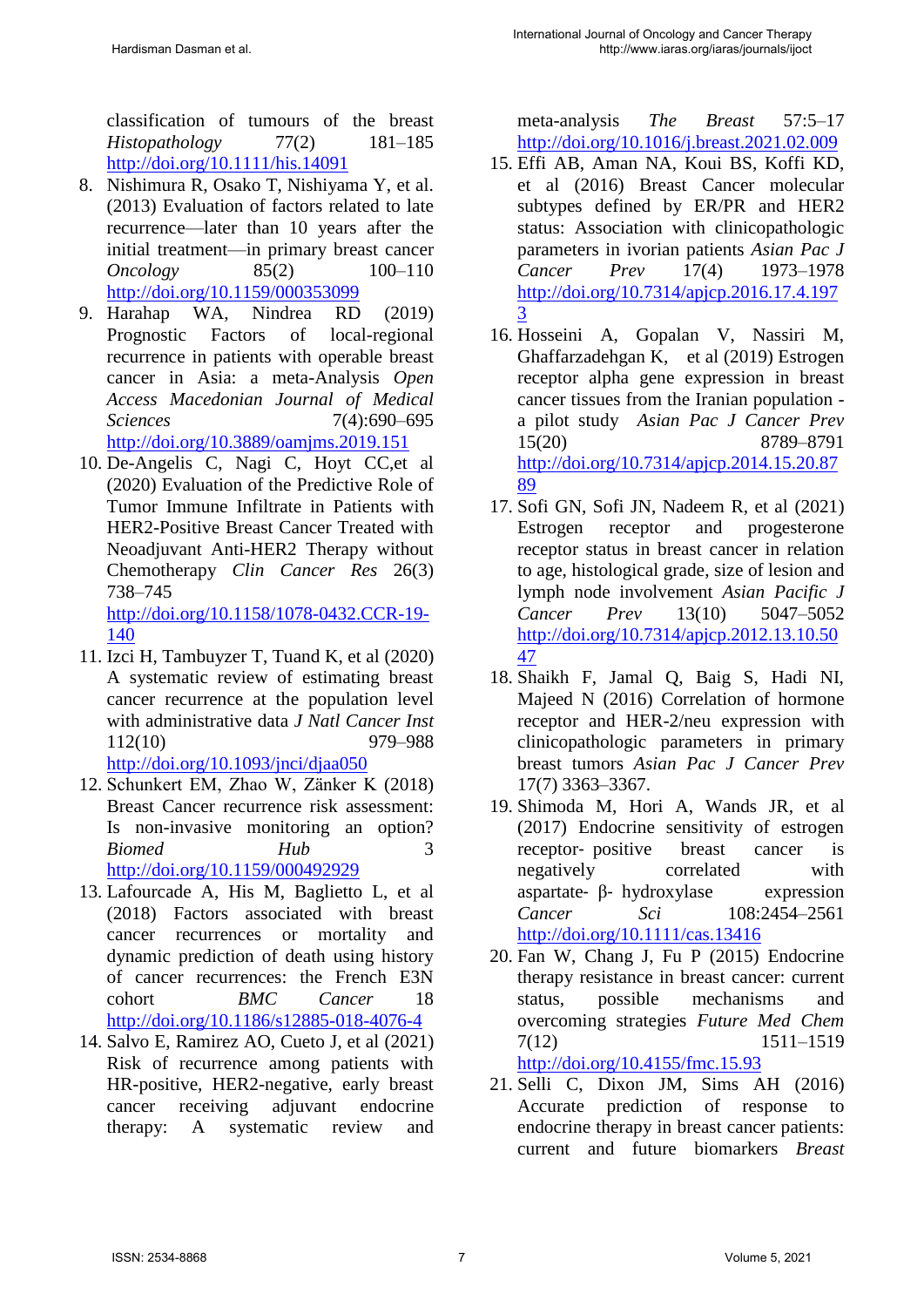classification of tumours of the breast *Histopathology* 77(2) 181–185 <http://doi.org/10.1111/his.14091>

- 8. Nishimura R, Osako T, Nishiyama Y, et al. (2013) Evaluation of factors related to late recurrence—later than 10 years after the initial treatment—in primary breast cancer *Oncology* 85(2) 100–110 <http://doi.org/10.1159/000353099>
- 9. Harahap WA, Nindrea RD (2019) Prognostic Factors of local-regional recurrence in patients with operable breast cancer in Asia: a meta-Analysis *Open Access Macedonian Journal of Medical Sciences* 7(4):690–695 <http://doi.org/10.3889/oamjms.2019.151>
- 10. De-Angelis C, Nagi C, Hoyt CC,et al (2020) Evaluation of the Predictive Role of Tumor Immune Infiltrate in Patients with HER2-Positive Breast Cancer Treated with Neoadjuvant Anti-HER2 Therapy without Chemotherapy *Clin Cancer Res* 26(3) 738–745 [http://doi.org/10.1158/1078-0432.CCR-19-](http://doi.org/10.1158/1078-0432.CCR-19-140)

[140](http://doi.org/10.1158/1078-0432.CCR-19-140) 

- 11. Izci H, Tambuyzer T, Tuand K, et al (2020) A systematic review of estimating breast cancer recurrence at the population level with administrative data *J Natl Cancer Inst* 112(10) 979–988 <http://doi.org/10.1093/jnci/djaa050>
- 12. Schunkert EM, Zhao W, Zänker K (2018) Breast Cancer recurrence risk assessment: Is non-invasive monitoring an option? *Biomed Hub* 3 <http://doi.org/10.1159/000492929>
- 13. Lafourcade A, His M, Baglietto L, et al (2018) Factors associated with breast cancer recurrences or mortality and dynamic prediction of death using history of cancer recurrences: the French E3N cohort *BMC Cancer* 18 <http://doi.org/10.1186/s12885-018-4076-4>
- 14. Salvo E, Ramirez AO, Cueto J, et al (2021) Risk of recurrence among patients with HR-positive, HER2-negative, early breast cancer receiving adjuvant endocrine therapy: A systematic review and

meta-analysis *The Breast* 57:5–17 <http://doi.org/10.1016/j.breast.2021.02.009>

- 15. Effi AB, Aman NA, Koui BS, Koffi KD, et al (2016) Breast Cancer molecular subtypes defined by ER/PR and HER2 status: Association with clinicopathologic parameters in ivorian patients *Asian Pac J Cancer Prev* 17(4) 1973–1978 [http://doi.org/10.7314/apjcp.2016.17.4.197](http://doi.org/10.7314/apjcp.2016.17.4.1973) [3](http://doi.org/10.7314/apjcp.2016.17.4.1973)
- 16. Hosseini A, Gopalan V, Nassiri M, Ghaffarzadehgan K, et al (2019) Estrogen receptor alpha gene expression in breast cancer tissues from the Iranian population a pilot study *Asian Pac J Cancer Prev* 15(20) 8789–8791 [http://doi.org/10.7314/apjcp.2014.15.20.87](http://doi.org/10.7314/apjcp.2014.15.20.8789) [89](http://doi.org/10.7314/apjcp.2014.15.20.8789)
- 17. Sofi GN, Sofi JN, Nadeem R, et al (2021) Estrogen receptor and progesterone receptor status in breast cancer in relation to age, histological grade, size of lesion and lymph node involvement *Asian Pacific J Cancer Prev* 13(10) 5047–5052 [http://doi.org/10.7314/apjcp.2012.13.10.50](http://doi.org/10.7314/apjcp.2012.13.10.5047) [47](http://doi.org/10.7314/apjcp.2012.13.10.5047)
- 18. Shaikh F, Jamal Q, Baig S, Hadi NI, Majeed N (2016) Correlation of hormone receptor and HER-2/neu expression with clinicopathologic parameters in primary breast tumors *Asian Pac J Cancer Prev*  17(7) 3363–3367.
- 19. Shimoda M, Hori A, Wands JR, et al (2017) Endocrine sensitivity of estrogen receptor- positive breast cancer is negatively correlated with aspartate‐ β‐ hydroxylase expression *Cancer Sci* 108:2454–2561 <http://doi.org/10.1111/cas.13416>
- 20. Fan W, Chang J, Fu P (2015) Endocrine therapy resistance in breast cancer: current status, possible mechanisms and overcoming strategies *Future Med Chem* 7(12) 1511–1519 <http://doi.org/10.4155/fmc.15.93>
- 21. Selli C, Dixon JM, Sims AH (2016) Accurate prediction of response to endocrine therapy in breast cancer patients: current and future biomarkers *Breast*